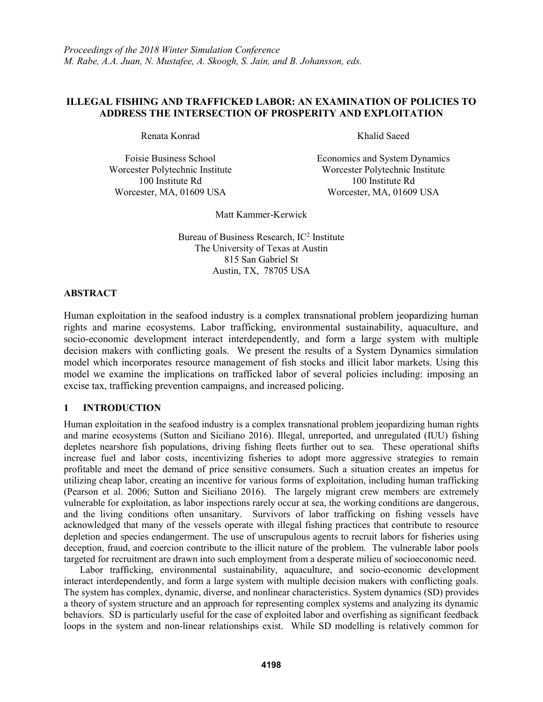# **ILLEGAL FISHING AND TRAFFICKED LABOR: AN EXAMINATION OF POLICIES TO ADDRESS THE INTERSECTION OF PROSPERITY AND EXPLOITATION**

Renata Konrad Khalid Saeed

Foisie Business School Economics and System Dynamics Worcester Polytechnic Institute Worcester Polytechnic Institute 100 Institute Rd 100 Institute Rd Worcester, MA, 01609 USA Worcester, MA, 01609 USA

Matt Kammer-Kerwick

Bureau of Business Research,  $IC<sup>2</sup>$  Institute The University of Texas at Austin 815 San Gabriel St Austin, TX, 78705 USA

# **ABSTRACT**

Human exploitation in the seafood industry is a complex transnational problem jeopardizing human rights and marine ecosystems. Labor trafficking, environmental sustainability, aquaculture, and socio-economic development interact interdependently, and form a large system with multiple decision makers with conflicting goals. We present the results of a System Dynamics simulation model which incorporates resource management of fish stocks and illicit labor markets. Using this model we examine the implications on trafficked labor of several policies including: imposing an excise tax, trafficking prevention campaigns, and increased policing.

# **1 INTRODUCTION**

Human exploitation in the seafood industry is a complex transnational problem jeopardizing human rights and marine ecosystems (Sutton and Siciliano 2016). Illegal, unreported, and unregulated (IUU) fishing depletes nearshore fish populations, driving fishing fleets further out to sea. These operational shifts increase fuel and labor costs, incentivizing fisheries to adopt more aggressive strategies to remain profitable and meet the demand of price sensitive consumers. Such a situation creates an impetus for utilizing cheap labor, creating an incentive for various forms of exploitation, including human trafficking (Pearson et al. 2006; Sutton and Siciliano 2016). The largely migrant crew members are extremely vulnerable for exploitation, as labor inspections rarely occur at sea, the working conditions are dangerous, and the living conditions often unsanitary. Survivors of labor trafficking on fishing vessels have acknowledged that many of the vessels operate with illegal fishing practices that contribute to resource depletion and species endangerment. The use of unscrupulous agents to recruit labors for fisheries using deception, fraud, and coercion contribute to the illicit nature of the problem. The vulnerable labor pools targeted for recruitment are drawn into such employment from a desperate milieu of socioeconomic need.

Labor trafficking, environmental sustainability, aquaculture, and socio-economic development interact interdependently, and form a large system with multiple decision makers with conflicting goals. The system has complex, dynamic, diverse, and nonlinear characteristics. System dynamics (SD) provides a theory of system structure and an approach for representing complex systems and analyzing its dynamic behaviors. SD is particularly useful for the case of exploited labor and overfishing as significant feedback loops in the system and non-linear relationships exist. While SD modelling is relatively common for